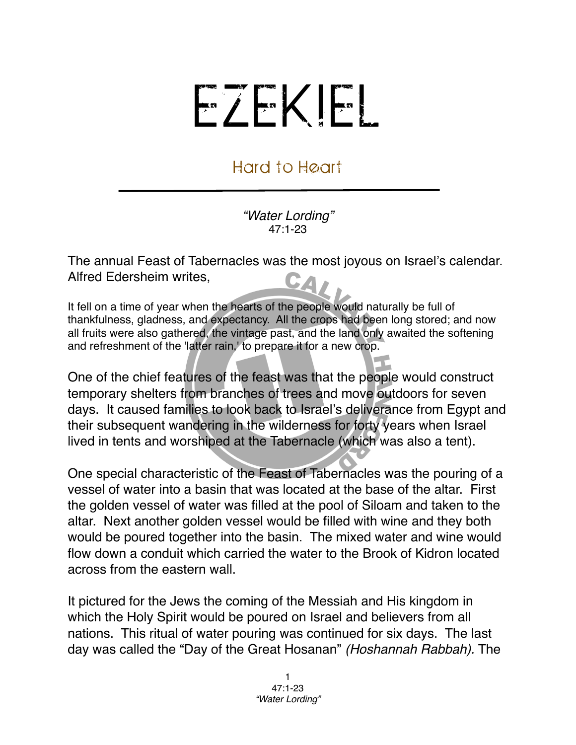## EZEKIEL

## Hard to Heart

*"Water Lording"* 47:1-23

The annual Feast of Tabernacles was the most joyous on Israel's calendar. Alfred Edersheim writes, CA,

It fell on a time of year when the hearts of the people would naturally be full of thankfulness, gladness, and expectancy. All the crops had been long stored; and now all fruits were also gathered, the vintage past, and the land only awaited the softening and refreshment of the 'latter rain,' to prepare it for a new crop.

One of the chief features of the feast was that the people would construct temporary shelters from branches of trees and move outdoors for seven days. It caused families to look back to Israel's deliverance from Egypt and their subsequent wandering in the wilderness for forty years when Israel lived in tents and worshiped at the Tabernacle (which was also a tent).

One special characteristic of the Feast of Tabernacles was the pouring of a vessel of water into a basin that was located at the base of the altar. First the golden vessel of water was filled at the pool of Siloam and taken to the altar. Next another golden vessel would be filled with wine and they both would be poured together into the basin. The mixed water and wine would flow down a conduit which carried the water to the Brook of Kidron located across from the eastern wall.

It pictured for the Jews the coming of the Messiah and His kingdom in which the Holy Spirit would be poured on Israel and believers from all nations. This ritual of water pouring was continued for six days. The last day was called the "Day of the Great Hosanan" *(Hoshannah Rabbah).* The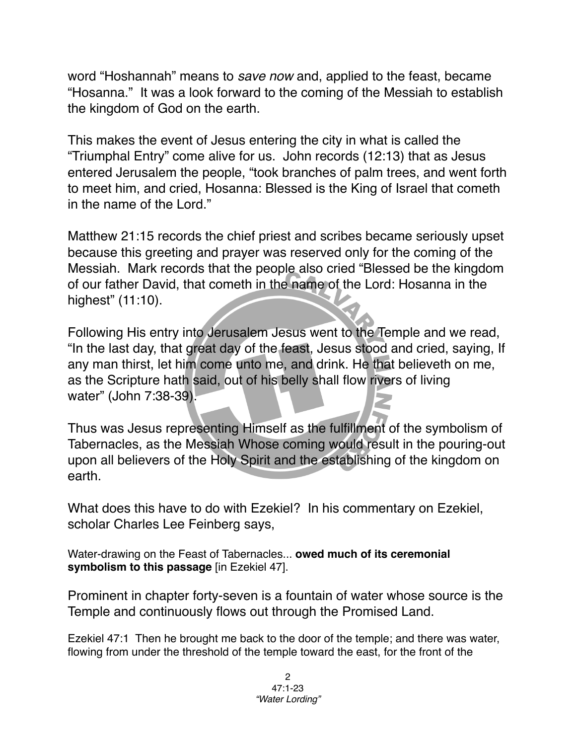word "Hoshannah" means to *save now* and, applied to the feast, became "Hosanna." It was a look forward to the coming of the Messiah to establish the kingdom of God on the earth.

This makes the event of Jesus entering the city in what is called the "Triumphal Entry" come alive for us. John records (12:13) that as Jesus entered Jerusalem the people, "took branches of palm trees, and went forth to meet him, and cried, Hosanna: Blessed is the King of Israel that cometh in the name of the Lord."

Matthew 21:15 records the chief priest and scribes became seriously upset because this greeting and prayer was reserved only for the coming of the Messiah. Mark records that the people also cried "Blessed be the kingdom of our father David, that cometh in the name of the Lord: Hosanna in the highest" (11:10).

Following His entry into Jerusalem Jesus went to the Temple and we read, "In the last day, that great day of the feast, Jesus stood and cried, saying, If any man thirst, let him come unto me, and drink. He that believeth on me, as the Scripture hath said, out of his belly shall flow rivers of living water" (John 7:38-39).

Thus was Jesus representing Himself as the fulfillment of the symbolism of Tabernacles, as the Messiah Whose coming would result in the pouring-out upon all believers of the Holy Spirit and the establishing of the kingdom on earth.

What does this have to do with Ezekiel? In his commentary on Ezekiel, scholar Charles Lee Feinberg says,

Water-drawing on the Feast of Tabernacles... **owed much of its ceremonial symbolism to this passage** [in Ezekiel 47].

Prominent in chapter forty-seven is a fountain of water whose source is the Temple and continuously flows out through the Promised Land.

Ezekiel 47:1 Then he brought me back to the door of the temple; and there was water, flowing from under the threshold of the temple toward the east, for the front of the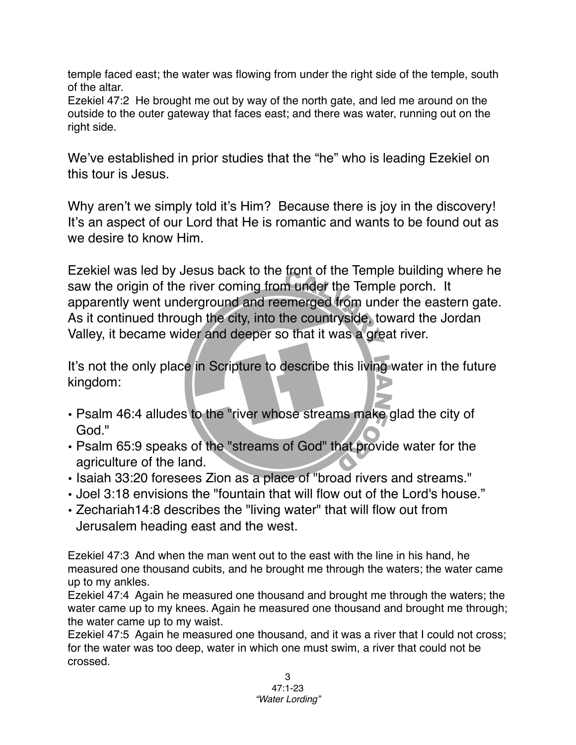temple faced east; the water was flowing from under the right side of the temple, south of the altar.

Ezekiel 47:2 He brought me out by way of the north gate, and led me around on the outside to the outer gateway that faces east; and there was water, running out on the right side.

We've established in prior studies that the "he" who is leading Ezekiel on this tour is Jesus.

Why aren't we simply told it's Him? Because there is joy in the discovery! It's an aspect of our Lord that He is romantic and wants to be found out as we desire to know Him.

Ezekiel was led by Jesus back to the front of the Temple building where he saw the origin of the river coming from under the Temple porch. It apparently went underground and reemerged from under the eastern gate. As it continued through the city, into the countryside, toward the Jordan Valley, it became wider and deeper so that it was a great river.

It's not the only place in Scripture to describe this living water in the future kingdom:

- Psalm 46:4 alludes to the "river whose streams make glad the city of God."
- Psalm 65:9 speaks of the "streams of God" that provide water for the agriculture of the land.
- Isaiah 33:20 foresees Zion as a place of "broad rivers and streams."
- Joel 3:18 envisions the "fountain that will flow out of the Lord's house."
- Zechariah14:8 describes the "living water" that will flow out from Jerusalem heading east and the west.

Ezekiel 47:3 And when the man went out to the east with the line in his hand, he measured one thousand cubits, and he brought me through the waters; the water came up to my ankles.

Ezekiel 47:4 Again he measured one thousand and brought me through the waters; the water came up to my knees. Again he measured one thousand and brought me through; the water came up to my waist.

Ezekiel 47:5 Again he measured one thousand, and it was a river that I could not cross; for the water was too deep, water in which one must swim, a river that could not be crossed.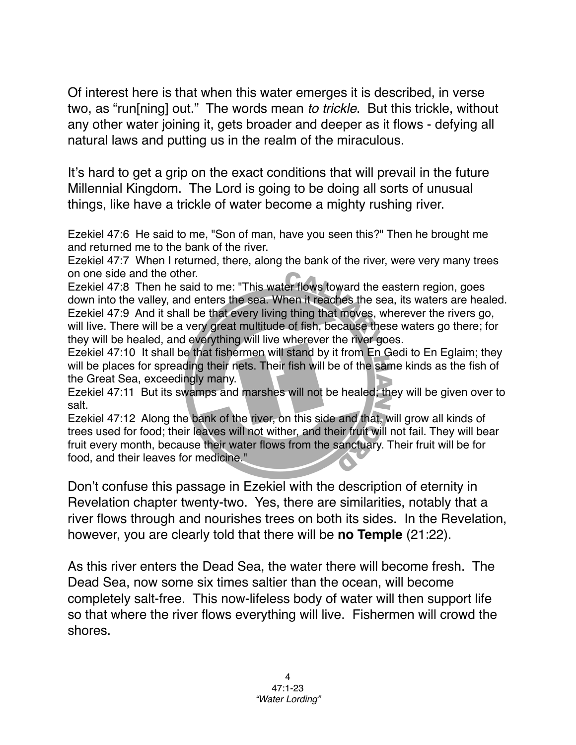Of interest here is that when this water emerges it is described, in verse two, as "run[ning] out." The words mean *to trickle*. But this trickle, without any other water joining it, gets broader and deeper as it flows - defying all natural laws and putting us in the realm of the miraculous.

It's hard to get a grip on the exact conditions that will prevail in the future Millennial Kingdom. The Lord is going to be doing all sorts of unusual things, like have a trickle of water become a mighty rushing river.

Ezekiel 47:6 He said to me, "Son of man, have you seen this?" Then he brought me and returned me to the bank of the river.

Ezekiel 47:7 When I returned, there, along the bank of the river, were very many trees on one side and the other.

Ezekiel 47:8 Then he said to me: "This water flows toward the eastern region, goes down into the valley, and enters the sea. When it reaches the sea, its waters are healed. Ezekiel 47:9 And it shall be that every living thing that moves, wherever the rivers go, will live. There will be a very great multitude of fish, because these waters go there; for they will be healed, and everything will live wherever the river goes.

Ezekiel 47:10 It shall be that fishermen will stand by it from En Gedi to En Eglaim; they will be places for spreading their nets. Their fish will be of the same kinds as the fish of the Great Sea, exceedingly many.

Ezekiel 47:11 But its swamps and marshes will not be healed; they will be given over to salt.

Ezekiel 47:12 Along the bank of the river, on this side and that, will grow all kinds of trees used for food; their leaves will not wither, and their fruit will not fail. They will bear fruit every month, because their water flows from the sanctuary. Their fruit will be for food, and their leaves for medicine."

Don't confuse this passage in Ezekiel with the description of eternity in Revelation chapter twenty-two. Yes, there are similarities, notably that a river flows through and nourishes trees on both its sides. In the Revelation, however, you are clearly told that there will be **no Temple** (21:22).

As this river enters the Dead Sea, the water there will become fresh. The Dead Sea, now some six times saltier than the ocean, will become completely salt-free. This now-lifeless body of water will then support life so that where the river flows everything will live. Fishermen will crowd the shores.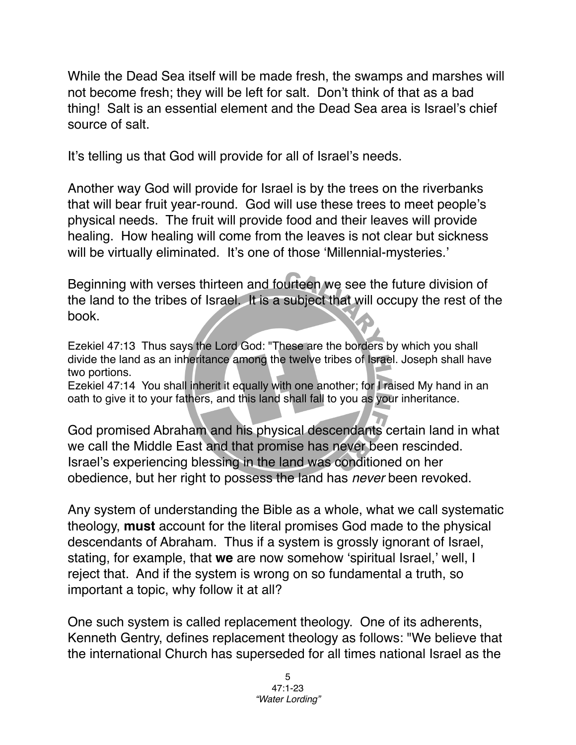While the Dead Sea itself will be made fresh, the swamps and marshes will not become fresh; they will be left for salt. Don't think of that as a bad thing! Salt is an essential element and the Dead Sea area is Israel's chief source of salt.

It's telling us that God will provide for all of Israel's needs.

Another way God will provide for Israel is by the trees on the riverbanks that will bear fruit year-round. God will use these trees to meet people's physical needs. The fruit will provide food and their leaves will provide healing. How healing will come from the leaves is not clear but sickness will be virtually eliminated. It's one of those 'Millennial-mysteries.'

Beginning with verses thirteen and fourteen we see the future division of the land to the tribes of Israel. It is a subject that will occupy the rest of the book.

Ezekiel 47:13 Thus says the Lord God: "These are the borders by which you shall divide the land as an inheritance among the twelve tribes of Israel. Joseph shall have two portions.

Ezekiel 47:14 You shall inherit it equally with one another; for I raised My hand in an oath to give it to your fathers, and this land shall fall to you as your inheritance.

God promised Abraham and his physical descendants certain land in what we call the Middle East and that promise has never been rescinded. Israel's experiencing blessing in the land was conditioned on her obedience, but her right to possess the land has *never* been revoked.

Any system of understanding the Bible as a whole, what we call systematic theology, **must** account for the literal promises God made to the physical descendants of Abraham. Thus if a system is grossly ignorant of Israel, stating, for example, that **we** are now somehow ʻspiritual Israel,' well, I reject that. And if the system is wrong on so fundamental a truth, so important a topic, why follow it at all?

One such system is called replacement theology. One of its adherents, Kenneth Gentry, defines replacement theology as follows: "We believe that the international Church has superseded for all times national Israel as the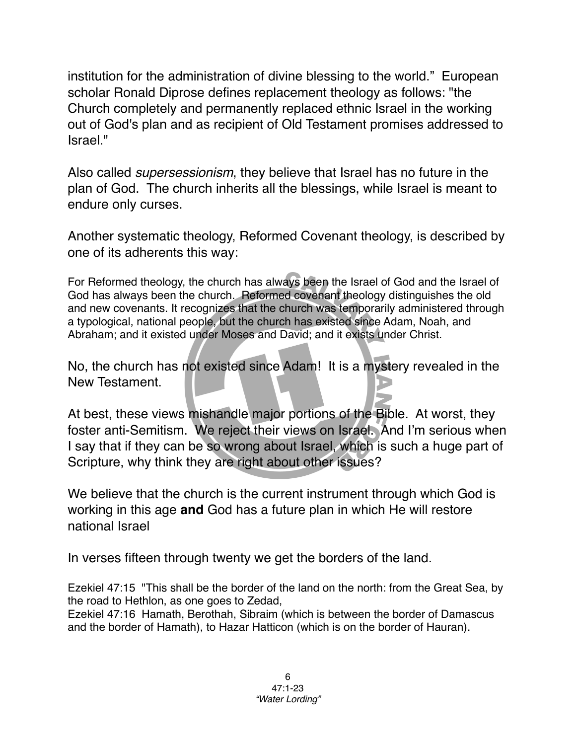institution for the administration of divine blessing to the world." European scholar Ronald Diprose defines replacement theology as follows: "the Church completely and permanently replaced ethnic Israel in the working out of God's plan and as recipient of Old Testament promises addressed to Israel."

Also called *supersessionism*, they believe that Israel has no future in the plan of God. The church inherits all the blessings, while Israel is meant to endure only curses.

Another systematic theology, Reformed Covenant theology, is described by one of its adherents this way:

For Reformed theology, the church has always been the Israel of God and the Israel of God has always been the church. Reformed covenant theology distinguishes the old and new covenants. It recognizes that the church was temporarily administered through a typological, national people, but the church has existed since Adam, Noah, and Abraham; and it existed under Moses and David; and it exists under Christ.

No, the church has not existed since Adam! It is a mystery revealed in the New Testament.

At best, these views mishandle major portions of the Bible. At worst, they foster anti-Semitism. We reject their views on Israel. And I'm serious when I say that if they can be so wrong about Israel, which is such a huge part of Scripture, why think they are right about other issues?

We believe that the church is the current instrument through which God is working in this age **and** God has a future plan in which He will restore national Israel

In verses fifteen through twenty we get the borders of the land.

Ezekiel 47:15 "This shall be the border of the land on the north: from the Great Sea, by the road to Hethlon, as one goes to Zedad,

Ezekiel 47:16 Hamath, Berothah, Sibraim (which is between the border of Damascus and the border of Hamath), to Hazar Hatticon (which is on the border of Hauran).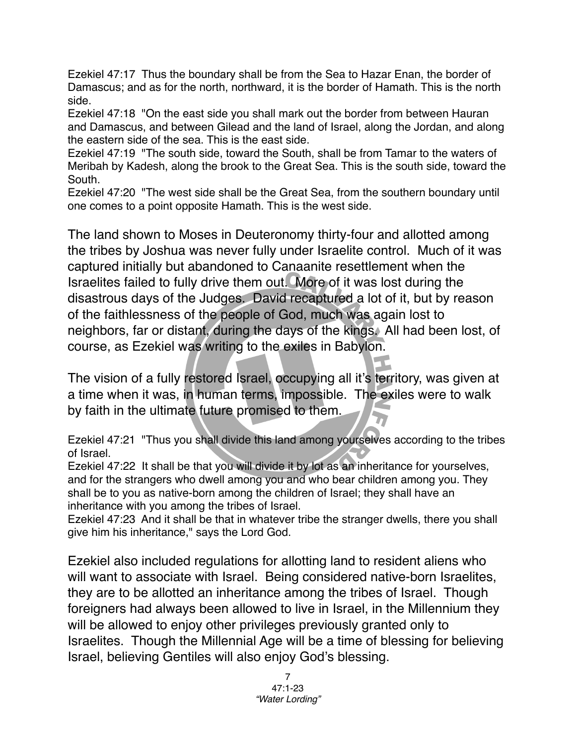Ezekiel 47:17 Thus the boundary shall be from the Sea to Hazar Enan, the border of Damascus; and as for the north, northward, it is the border of Hamath. This is the north side.

Ezekiel 47:18 "On the east side you shall mark out the border from between Hauran and Damascus, and between Gilead and the land of Israel, along the Jordan, and along the eastern side of the sea. This is the east side.

Ezekiel 47:19 "The south side, toward the South, shall be from Tamar to the waters of Meribah by Kadesh, along the brook to the Great Sea. This is the south side, toward the South.

Ezekiel 47:20 "The west side shall be the Great Sea, from the southern boundary until one comes to a point opposite Hamath. This is the west side.

The land shown to Moses in Deuteronomy thirty-four and allotted among the tribes by Joshua was never fully under Israelite control. Much of it was captured initially but abandoned to Canaanite resettlement when the Israelites failed to fully drive them out. More of it was lost during the disastrous days of the Judges. David recaptured a lot of it, but by reason of the faithlessness of the people of God, much was again lost to neighbors, far or distant, during the days of the kings. All had been lost, of course, as Ezekiel was writing to the exiles in Babylon.

The vision of a fully restored Israel, occupying all it's territory, was given at a time when it was, in human terms, impossible. The exiles were to walk by faith in the ultimate future promised to them.

Ezekiel 47:21 "Thus you shall divide this land among yourselves according to the tribes of Israel.

Ezekiel 47:22 It shall be that you will divide it by lot as an inheritance for yourselves, and for the strangers who dwell among you and who bear children among you. They shall be to you as native-born among the children of Israel; they shall have an inheritance with you among the tribes of Israel.

Ezekiel 47:23 And it shall be that in whatever tribe the stranger dwells, there you shall give him his inheritance," says the Lord God.

Ezekiel also included regulations for allotting land to resident aliens who will want to associate with Israel. Being considered native-born Israelites, they are to be allotted an inheritance among the tribes of Israel. Though foreigners had always been allowed to live in Israel, in the Millennium they will be allowed to enjoy other privileges previously granted only to Israelites. Though the Millennial Age will be a time of blessing for believing Israel, believing Gentiles will also enjoy God's blessing.